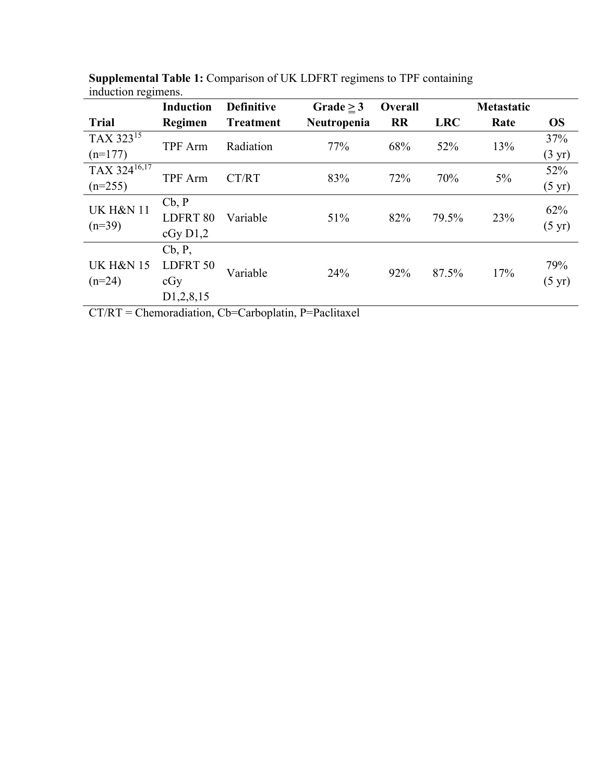|                                  | <b>Induction</b>       | <b>Definitive</b> | Grade $\geq$ 3 | Overall   |            | Metastatic |                  |
|----------------------------------|------------------------|-------------------|----------------|-----------|------------|------------|------------------|
| <b>Trial</b>                     | Regimen                | <b>Treatment</b>  | Neutropenia    | <b>RR</b> | <b>LRC</b> | Rate       | <b>OS</b>        |
| TAX 323 <sup>15</sup>            | <b>TPF</b> Arm         | Radiation         | 77%            | 68%       | 52%        | 13%        | 37%              |
| $(n=177)$                        |                        |                   |                |           |            |            | $(3 \text{ yr})$ |
| TAX 324 $1\overline{6,17}$       | <b>TPF</b> Arm         | CT/RT             | 83%            | 72%       | 70%        | $5\%$      | 52%              |
| $(n=255)$                        |                        |                   |                |           |            |            | $(5 \text{ yr})$ |
| <b>UK H&amp;N 11</b><br>$(n=39)$ | Cb, P                  |                   | 51%            | 82%       |            | 23%        | 62%              |
|                                  | LDFRT 80               | Variable          |                |           | 79.5%      |            |                  |
|                                  | cGy D1,2               |                   |                |           |            |            | $(5 \text{ yr})$ |
|                                  | Cb, P,                 |                   | 24%            | 92%       | 87.5%      | 17%        |                  |
| <b>UK H&amp;N 15</b>             | LDFRT 50               | Variable          |                |           |            |            | 79%              |
| $(n=24)$                         | cGy                    |                   |                |           |            |            | $(5 \text{ yr})$ |
|                                  | D <sub>1</sub> ,2,8,15 |                   |                |           |            |            |                  |

**Supplemental Table 1:** Comparison of UK LDFRT regimens to TPF containing induction regimens.

CT/RT = Chemoradiation, Cb=Carboplatin, P=Paclitaxel